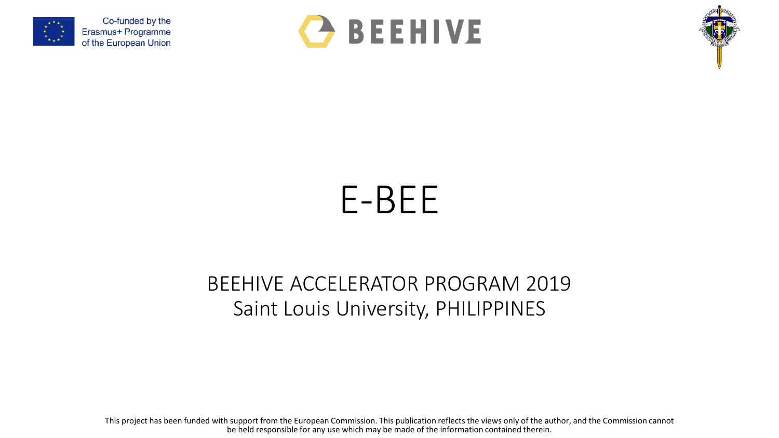





## E-BEE

## BEEHIVE ACCELERATOR PROGRAM 2019 Saint Louis University, PHILIPPINES

This project has been funded with support from the European Commission. This publication reflects the views only of the author, and the Commission cannot be held responsible for any use which may be made of the information contained therein.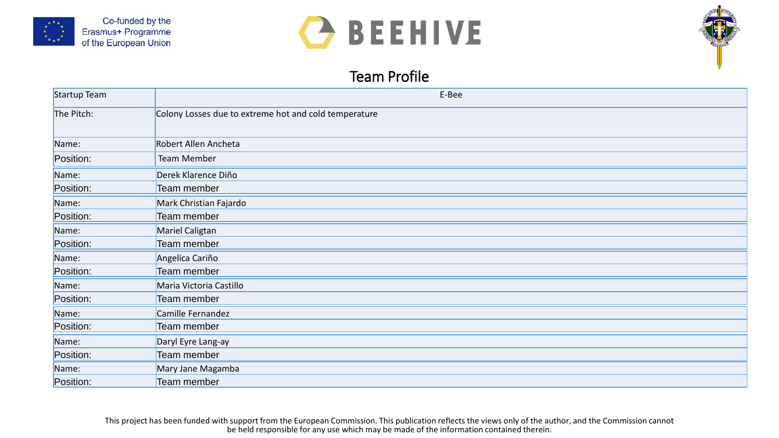





## Team Profile

| Startup Team | E-Bee                                                 |
|--------------|-------------------------------------------------------|
| The Pitch:   | Colony Losses due to extreme hot and cold temperature |
| Name:        | Robert Allen Ancheta                                  |
| Position:    | Team Member                                           |
| Name:        | Derek Klarence Diño                                   |
| Position:    | Team member                                           |
| Name:        | Mark Christian Fajardo                                |
| Position:    | Team member                                           |
| Name:        | Mariel Caligtan                                       |
| Position:    | Team member                                           |
| Name:        | Angelica Cariño                                       |
| Position:    | Team member                                           |
| Name:        | Maria Victoria Castillo                               |
| Position:    | Team member                                           |
| Name:        | Camille Fernandez                                     |
| Position:    | Team member                                           |
| Name:        | Daryl Eyre Lang-ay                                    |
| Position:    | Team member                                           |
| Name:        | Mary Jane Magamba                                     |
| Position:    | Team member                                           |

This project has been funded with support from the European Commission. This publication reflects the views only of the author, and the Commission cannot be held responsible for any use which may be made of the information contained therein.